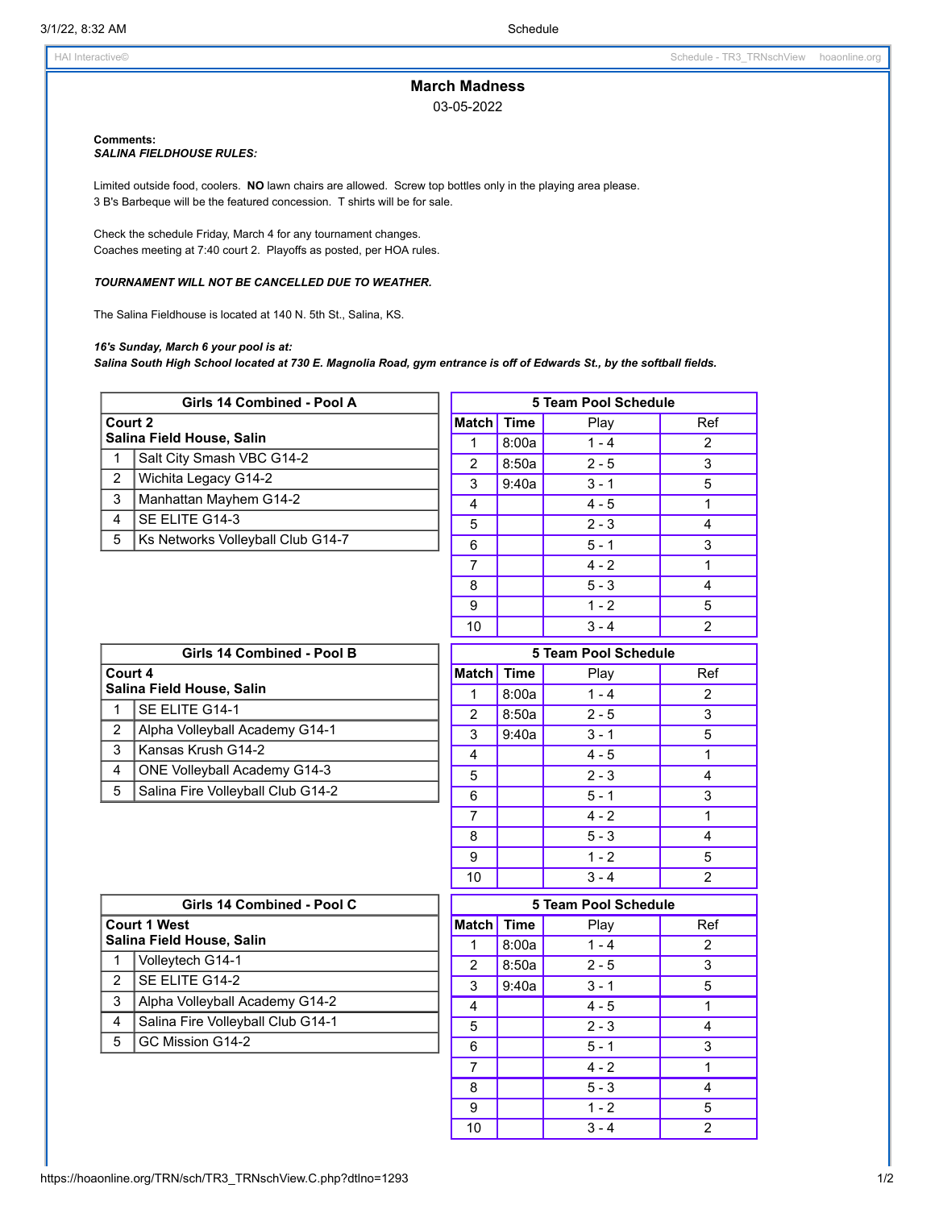# **March Madness**

03-05-2022

## **Comments:**

### *SALINA FIELDHOUSE RULES:*

Limited outside food, coolers. **NO** lawn chairs are allowed. Screw top bottles only in the playing area please. B's Barbeque will be the featured concession. T shirts will be for sale.

Check the schedule Friday, March 4 for any tournament changes. Coaches meeting at 7:40 court 2. Playoffs as posted, per HOA rules.

#### *TOURNAMENT WILL NOT BE CANCELLED DUE TO WEATHER.*

The Salina Fieldhouse is located at 140 N. 5th St., Salina, KS.

#### *16's Sunday, March 6 your pool is at:*

Salina South High School located at 730 E. Magnolia Road, gym entrance is off of Edwards St., by the softball fields.

| Girls 14 Combined - Pool A |                                   |                             | 5 Team Pool Schedule |                  |                |  |
|----------------------------|-----------------------------------|-----------------------------|----------------------|------------------|----------------|--|
| Court 2                    |                                   | Match Time                  |                      | Play             | Ref            |  |
| Salina Field House, Salin  |                                   | $\mathbf{1}$                | 8:00a                | $1 - 4$          | $\overline{2}$ |  |
| $\mathbf{1}$               | Salt City Smash VBC G14-2         | $\overline{2}$              | 8:50a                | $2 - 5$          | $\overline{3}$ |  |
| $\overline{2}$             | Wichita Legacy G14-2              | 3                           | 9:40a                | $3 - 1$          | 5              |  |
| 3                          | Manhattan Mayhem G14-2            | 4                           |                      | $4 - 5$          | $\mathbf{1}$   |  |
| $\overline{4}$             | SE ELITE G14-3                    | 5                           |                      | $2 - 3$          | 4              |  |
| 5                          | Ks Networks Volleyball Club G14-7 | 6                           |                      | $5 - 1$          | 3              |  |
|                            |                                   | $\overline{7}$              |                      | $4 - 2$          | $\mathbf{1}$   |  |
|                            |                                   | 8                           |                      | $\overline{5-3}$ | 4              |  |
|                            |                                   | 9                           |                      | $1 - 2$          | 5              |  |
|                            |                                   | 10                          |                      | $3 - 4$          | $\overline{2}$ |  |
| Girls 14 Combined - Pool B |                                   |                             | 5 Team Pool Schedule |                  |                |  |
| Court 4                    |                                   | Match Time                  |                      | Play             | Ref            |  |
|                            | Salina Field House, Salin         | 1                           | 8:00a                | $1 - 4$          | $\mathcal{P}$  |  |
| $\mathbf{1}$               | SE ELITE G14-1                    | $\overline{2}$              | 8:50a                | $2 - 5$          | 3              |  |
| $\overline{c}$             | Alpha Volleyball Academy G14-1    | $\overline{3}$              | 9:40a                | $3 - 1$          | $\overline{5}$ |  |
| 3                          | Kansas Krush G14-2                | $\overline{4}$              |                      | $4 - 5$          | $\mathbf{1}$   |  |
| 4                          | ONE Volleyball Academy G14-3      | $\sqrt{5}$                  |                      | $2 - 3$          | 4              |  |
| 5                          | Salina Fire Volleyball Club G14-2 | $6\phantom{1}$              |                      | $5 - 1$          | 3              |  |
|                            |                                   | 7                           |                      | $4 - 2$          | $\mathbf{1}$   |  |
|                            |                                   | 8                           |                      | $5 - 3$          | 4              |  |
|                            |                                   | 9                           |                      | $1 - 2$          | 5              |  |
|                            |                                   | 10                          |                      | $3 - 4$          | $\overline{2}$ |  |
| Girls 14 Combined - Pool C |                                   | <b>5 Team Pool Schedule</b> |                      |                  |                |  |
| <b>Court 1 West</b>        |                                   | <b>Match</b>                | <b>Time</b>          | Play             | Ref            |  |
|                            | Salina Field House, Salin         | $\mathbf{1}$                | 8:00a                | $1 - 4$          | $\overline{2}$ |  |
| $\mathbf{1}$               | Volleytech G14-1                  | $\overline{2}$              | 8:50a                | $2 - 5$          | 3              |  |
| $\overline{2}$             | SE ELITE G14-2                    | 3                           | 9:40a                | $3 - 1$          | 5              |  |
| 3                          | Alpha Volleyball Academy G14-2    | 4                           |                      | $4 - 5$          | $\mathbf{1}$   |  |
| 4                          | Salina Fire Volleyball Club G14-1 | 5                           |                      | $2 - 3$          | 4              |  |
| 5                          | GC Mission G14-2                  | $6\phantom{1}$              |                      | $5 - 1$          | 3              |  |
|                            |                                   | $\overline{7}$              |                      | $4 - 2$          | $\mathbf{1}$   |  |
|                            |                                   | 8                           |                      | $5 - 3$          | 4              |  |
|                            |                                   | $\boldsymbol{9}$            |                      | $1 - 2$          | 5              |  |
|                            |                                   | 10                          |                      | $3 - 4$          | $\overline{2}$ |  |